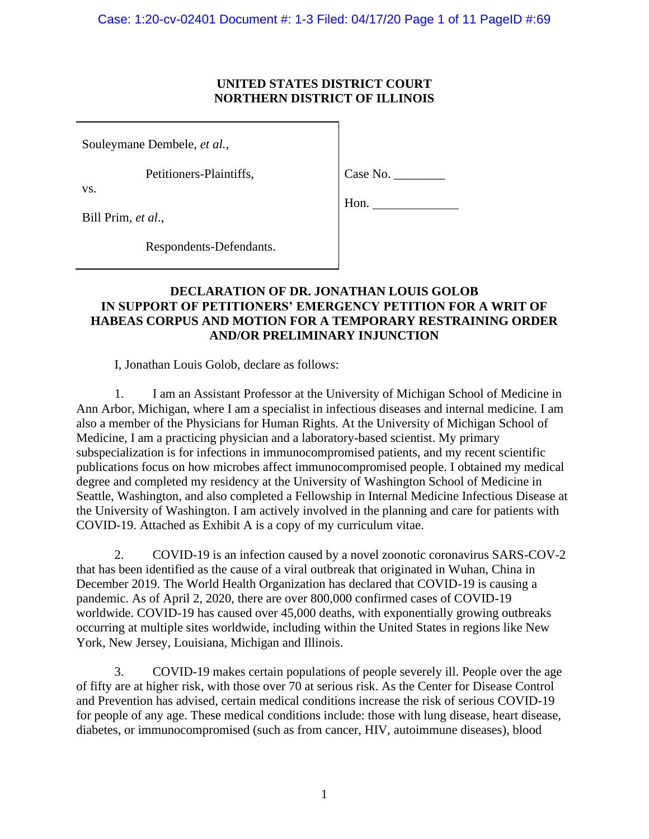## **UNITED STATES DISTRICT COURT NORTHERN DISTRICT OF ILLINOIS**

Souleymane Dembele, *et al.*,

Petitioners-Plaintiffs,

Case No. \_\_\_\_\_\_\_\_

vs.

Bill Prim, *et al*.,

Hon.

Respondents-Defendants.

# **DECLARATION OF DR. JONATHAN LOUIS GOLOB IN SUPPORT OF PETITIONERS' EMERGENCY PETITION FOR A WRIT OF HABEAS CORPUS AND MOTION FOR A TEMPORARY RESTRAINING ORDER AND/OR PRELIMINARY INJUNCTION**

I, Jonathan Louis Golob, declare as follows:

1. I am an Assistant Professor at the University of Michigan School of Medicine in Ann Arbor, Michigan, where I am a specialist in infectious diseases and internal medicine. I am also a member of the Physicians for Human Rights. At the University of Michigan School of Medicine, I am a practicing physician and a laboratory-based scientist. My primary subspecialization is for infections in immunocompromised patients, and my recent scientific publications focus on how microbes affect immunocompromised people. I obtained my medical degree and completed my residency at the University of Washington School of Medicine in Seattle, Washington, and also completed a Fellowship in Internal Medicine Infectious Disease at the University of Washington. I am actively involved in the planning and care for patients with COVID-19. Attached as Exhibit A is a copy of my curriculum vitae.

2. COVID-19 is an infection caused by a novel zoonotic coronavirus SARS-COV-2 that has been identified as the cause of a viral outbreak that originated in Wuhan, China in December 2019. The World Health Organization has declared that COVID-19 is causing a pandemic. As of April 2, 2020, there are over 800,000 confirmed cases of COVID-19 worldwide. COVID-19 has caused over 45,000 deaths, with exponentially growing outbreaks occurring at multiple sites worldwide, including within the United States in regions like New York, New Jersey, Louisiana, Michigan and Illinois.

3. COVID-19 makes certain populations of people severely ill. People over the age of fifty are at higher risk, with those over 70 at serious risk. As the Center for Disease Control and Prevention has advised, certain medical conditions increase the risk of serious COVID-19 for people of any age. These medical conditions include: those with lung disease, heart disease, diabetes, or immunocompromised (such as from cancer, HIV, autoimmune diseases), blood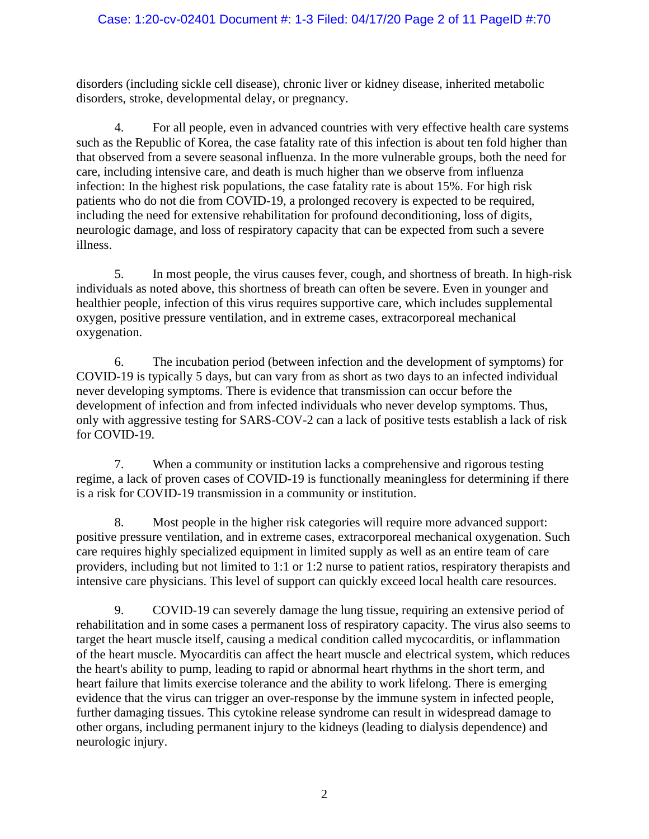# Case: 1:20-cv-02401 Document #: 1-3 Filed: 04/17/20 Page 2 of 11 PageID #:70

disorders (including sickle cell disease), chronic liver or kidney disease, inherited metabolic disorders, stroke, developmental delay, or pregnancy.

4. For all people, even in advanced countries with very effective health care systems such as the Republic of Korea, the case fatality rate of this infection is about ten fold higher than that observed from a severe seasonal influenza. In the more vulnerable groups, both the need for care, including intensive care, and death is much higher than we observe from influenza infection: In the highest risk populations, the case fatality rate is about 15%. For high risk patients who do not die from COVID-19, a prolonged recovery is expected to be required, including the need for extensive rehabilitation for profound deconditioning, loss of digits, neurologic damage, and loss of respiratory capacity that can be expected from such a severe illness.

5. In most people, the virus causes fever, cough, and shortness of breath. In high-risk individuals as noted above, this shortness of breath can often be severe. Even in younger and healthier people, infection of this virus requires supportive care, which includes supplemental oxygen, positive pressure ventilation, and in extreme cases, extracorporeal mechanical oxygenation.

6. The incubation period (between infection and the development of symptoms) for COVID-19 is typically 5 days, but can vary from as short as two days to an infected individual never developing symptoms. There is evidence that transmission can occur before the development of infection and from infected individuals who never develop symptoms. Thus, only with aggressive testing for SARS-COV-2 can a lack of positive tests establish a lack of risk for COVID-19.

7. When a community or institution lacks a comprehensive and rigorous testing regime, a lack of proven cases of COVID-19 is functionally meaningless for determining if there is a risk for COVID-19 transmission in a community or institution.

8. Most people in the higher risk categories will require more advanced support: positive pressure ventilation, and in extreme cases, extracorporeal mechanical oxygenation. Such care requires highly specialized equipment in limited supply as well as an entire team of care providers, including but not limited to 1:1 or 1:2 nurse to patient ratios, respiratory therapists and intensive care physicians. This level of support can quickly exceed local health care resources.

9. COVID-19 can severely damage the lung tissue, requiring an extensive period of rehabilitation and in some cases a permanent loss of respiratory capacity. The virus also seems to target the heart muscle itself, causing a medical condition called mycocarditis, or inflammation of the heart muscle. Myocarditis can affect the heart muscle and electrical system, which reduces the heart's ability to pump, leading to rapid or abnormal heart rhythms in the short term, and heart failure that limits exercise tolerance and the ability to work lifelong. There is emerging evidence that the virus can trigger an over-response by the immune system in infected people, further damaging tissues. This cytokine release syndrome can result in widespread damage to other organs, including permanent injury to the kidneys (leading to dialysis dependence) and neurologic injury.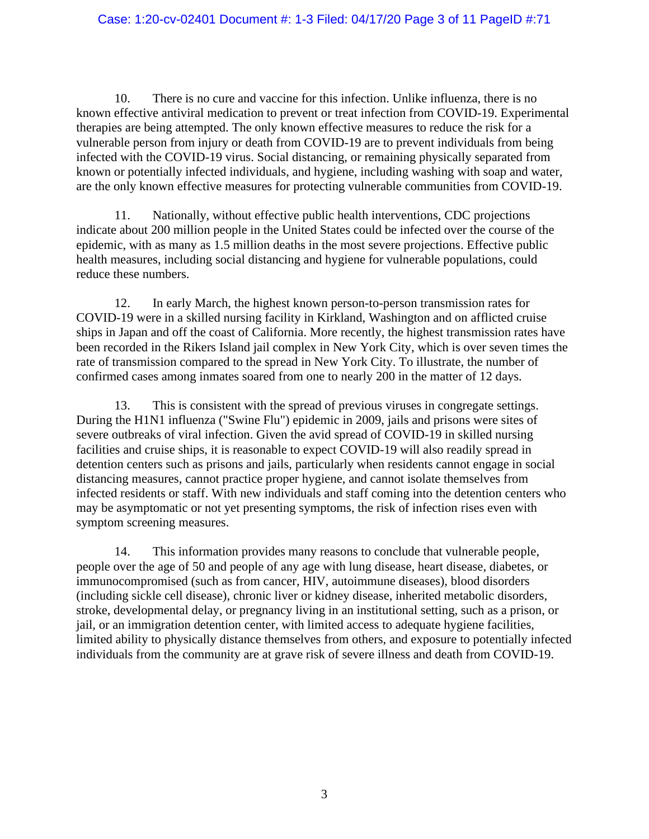### Case: 1:20-cv-02401 Document #: 1-3 Filed: 04/17/20 Page 3 of 11 PageID #:71

10. There is no cure and vaccine for this infection. Unlike influenza, there is no known effective antiviral medication to prevent or treat infection from COVID-19. Experimental therapies are being attempted. The only known effective measures to reduce the risk for a vulnerable person from injury or death from COVID-19 are to prevent individuals from being infected with the COVID-19 virus. Social distancing, or remaining physically separated from known or potentially infected individuals, and hygiene, including washing with soap and water, are the only known effective measures for protecting vulnerable communities from COVID-19.

11. Nationally, without effective public health interventions, CDC projections indicate about 200 million people in the United States could be infected over the course of the epidemic, with as many as 1.5 million deaths in the most severe projections. Effective public health measures, including social distancing and hygiene for vulnerable populations, could reduce these numbers.

12. In early March, the highest known person-to-person transmission rates for COVID-19 were in a skilled nursing facility in Kirkland, Washington and on afflicted cruise ships in Japan and off the coast of California. More recently, the highest transmission rates have been recorded in the Rikers Island jail complex in New York City, which is over seven times the rate of transmission compared to the spread in New York City. To illustrate, the number of confirmed cases among inmates soared from one to nearly 200 in the matter of 12 days.

13. This is consistent with the spread of previous viruses in congregate settings. During the H1N1 influenza ("Swine Flu") epidemic in 2009, jails and prisons were sites of severe outbreaks of viral infection. Given the avid spread of COVID-19 in skilled nursing facilities and cruise ships, it is reasonable to expect COVID-19 will also readily spread in detention centers such as prisons and jails, particularly when residents cannot engage in social distancing measures, cannot practice proper hygiene, and cannot isolate themselves from infected residents or staff. With new individuals and staff coming into the detention centers who may be asymptomatic or not yet presenting symptoms, the risk of infection rises even with symptom screening measures.

14. This information provides many reasons to conclude that vulnerable people, people over the age of 50 and people of any age with lung disease, heart disease, diabetes, or immunocompromised (such as from cancer, HIV, autoimmune diseases), blood disorders (including sickle cell disease), chronic liver or kidney disease, inherited metabolic disorders, stroke, developmental delay, or pregnancy living in an institutional setting, such as a prison, or jail, or an immigration detention center, with limited access to adequate hygiene facilities, limited ability to physically distance themselves from others, and exposure to potentially infected individuals from the community are at grave risk of severe illness and death from COVID-19.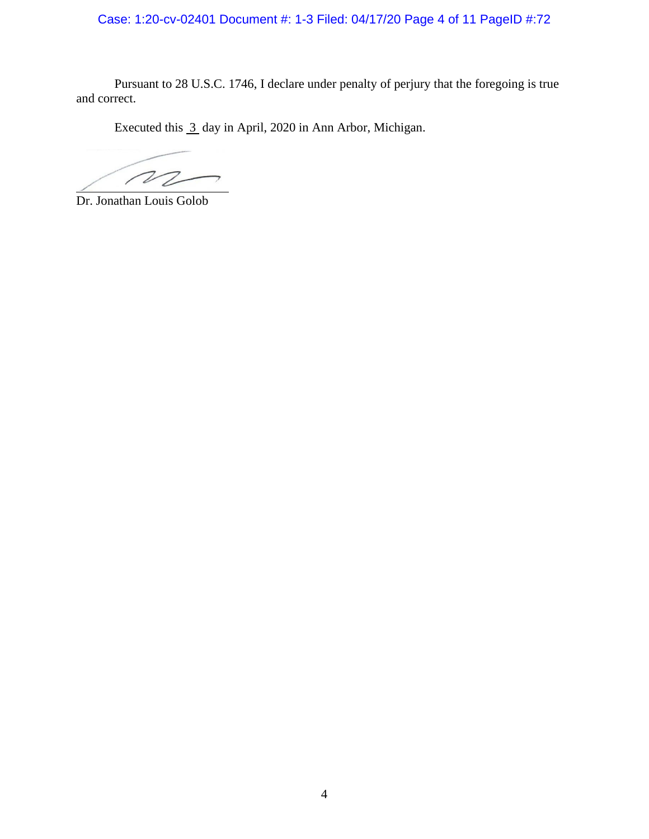Case: 1:20-cv-02401 Document #: 1-3 Filed: 04/17/20 Page 4 of 11 PageID #:72

Pursuant to 28 U.S.C. 1746, I declare under penalty of perjury that the foregoing is true and correct.

Executed this 3 day in April, 2020 in Ann Arbor, Michigan.

 $\sqrt{2}$ 

Dr. Jonathan Louis Golob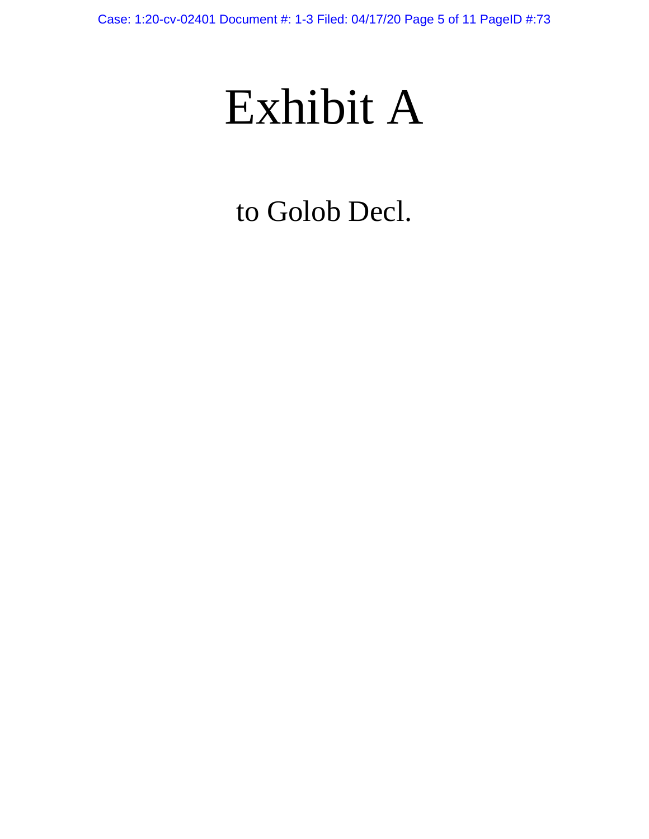# Exhibit A

to Golob Decl.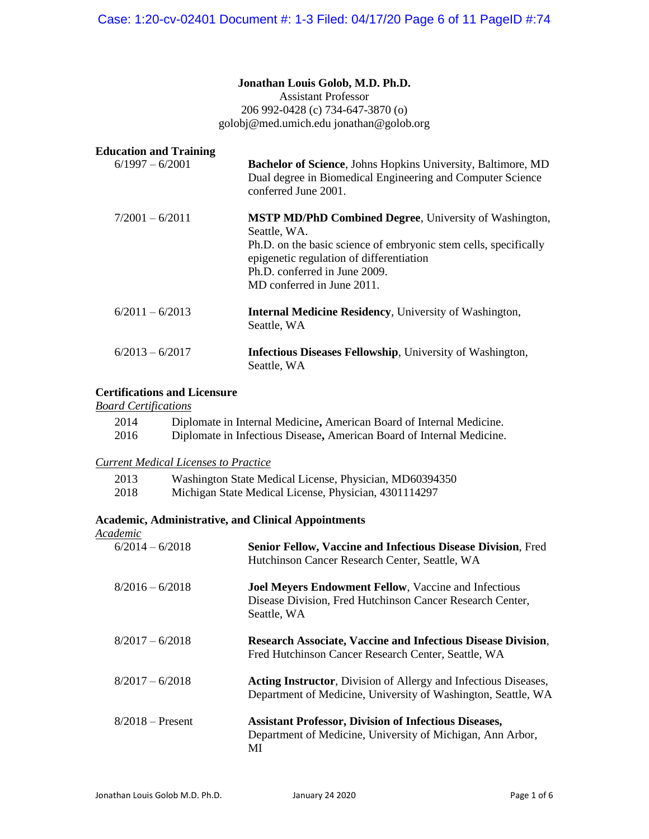# **Jonathan Louis Golob, M.D. Ph.D.**

Assistant Professor 206 992-0428 (c) 734-647-3870 (o) golobj@med.umich.edu jonathan@golob.org

| <b>Education and Training</b><br>$6/1997 - 6/2001$ | <b>Bachelor of Science</b> , Johns Hopkins University, Baltimore, MD<br>Dual degree in Biomedical Engineering and Computer Science<br>conferred June 2001.                                                                                                   |
|----------------------------------------------------|--------------------------------------------------------------------------------------------------------------------------------------------------------------------------------------------------------------------------------------------------------------|
| $7/2001 - 6/2011$                                  | <b>MSTP MD/PhD Combined Degree, University of Washington,</b><br>Seattle, WA.<br>Ph.D. on the basic science of embryonic stem cells, specifically<br>epigenetic regulation of differentiation<br>Ph.D. conferred in June 2009.<br>MD conferred in June 2011. |
| $6/2011 - 6/2013$                                  | <b>Internal Medicine Residency, University of Washington,</b><br>Seattle, WA                                                                                                                                                                                 |
| $6/2013 - 6/2017$                                  | <b>Infectious Diseases Fellowship</b> , University of Washington,<br>Seattle, WA                                                                                                                                                                             |

#### **Certifications and Licensure**

*Board Certifications*

| 2014 | Diplomate in Internal Medicine, American Board of Internal Medicine.  |
|------|-----------------------------------------------------------------------|
| 2016 | Diplomate in Infectious Disease, American Board of Internal Medicine. |

#### *Current Medical Licenses to Practice*

| 2013 |  |  | Washington State Medical License, Physician, MD60394350 |
|------|--|--|---------------------------------------------------------|
|      |  |  |                                                         |

2018 Michigan State Medical License, Physician, 4301114297

# **Academic, Administrative, and Clinical Appointments**

| Academic           |                                                                                                                                         |
|--------------------|-----------------------------------------------------------------------------------------------------------------------------------------|
| $6/2014 - 6/2018$  | <b>Senior Fellow, Vaccine and Infectious Disease Division, Fred</b><br>Hutchinson Cancer Research Center, Seattle, WA                   |
| $8/2016 - 6/2018$  | <b>Joel Meyers Endowment Fellow, Vaccine and Infectious</b><br>Disease Division, Fred Hutchinson Cancer Research Center,<br>Seattle, WA |
| $8/2017 - 6/2018$  | <b>Research Associate, Vaccine and Infectious Disease Division,</b><br>Fred Hutchinson Cancer Research Center, Seattle, WA              |
| $8/2017 - 6/2018$  | <b>Acting Instructor, Division of Allergy and Infectious Diseases,</b><br>Department of Medicine, University of Washington, Seattle, WA |
| $8/2018$ – Present | <b>Assistant Professor, Division of Infectious Diseases,</b><br>Department of Medicine, University of Michigan, Ann Arbor,<br>MI        |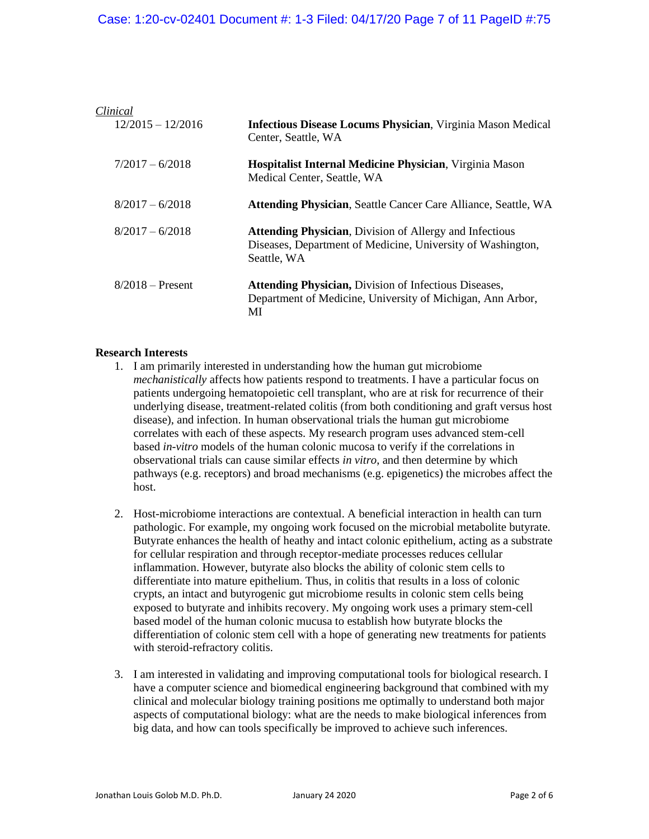| Clinical            |                                                                                                                                              |
|---------------------|----------------------------------------------------------------------------------------------------------------------------------------------|
| $12/2015 - 12/2016$ | <b>Infectious Disease Locums Physician, Virginia Mason Medical</b><br>Center, Seattle, WA                                                    |
| $7/2017 - 6/2018$   | <b>Hospitalist Internal Medicine Physician, Virginia Mason</b><br>Medical Center, Seattle, WA                                                |
| $8/2017 - 6/2018$   | <b>Attending Physician, Seattle Cancer Care Alliance, Seattle, WA</b>                                                                        |
| $8/2017 - 6/2018$   | <b>Attending Physician, Division of Allergy and Infectious</b><br>Diseases, Department of Medicine, University of Washington,<br>Seattle, WA |
| $8/2018$ – Present  | <b>Attending Physician, Division of Infectious Diseases,</b><br>Department of Medicine, University of Michigan, Ann Arbor,<br>MI             |

#### **Research Interests**

- 1. I am primarily interested in understanding how the human gut microbiome *mechanistically* affects how patients respond to treatments. I have a particular focus on patients undergoing hematopoietic cell transplant, who are at risk for recurrence of their underlying disease, treatment-related colitis (from both conditioning and graft versus host disease), and infection. In human observational trials the human gut microbiome correlates with each of these aspects. My research program uses advanced stem-cell based *in-vitro* models of the human colonic mucosa to verify if the correlations in observational trials can cause similar effects *in vitro*, and then determine by which pathways (e.g. receptors) and broad mechanisms (e.g. epigenetics) the microbes affect the host.
- 2. Host-microbiome interactions are contextual. A beneficial interaction in health can turn pathologic. For example, my ongoing work focused on the microbial metabolite butyrate. Butyrate enhances the health of heathy and intact colonic epithelium, acting as a substrate for cellular respiration and through receptor-mediate processes reduces cellular inflammation. However, butyrate also blocks the ability of colonic stem cells to differentiate into mature epithelium. Thus, in colitis that results in a loss of colonic crypts, an intact and butyrogenic gut microbiome results in colonic stem cells being exposed to butyrate and inhibits recovery. My ongoing work uses a primary stem-cell based model of the human colonic mucusa to establish how butyrate blocks the differentiation of colonic stem cell with a hope of generating new treatments for patients with steroid-refractory colitis.
- 3. I am interested in validating and improving computational tools for biological research. I have a computer science and biomedical engineering background that combined with my clinical and molecular biology training positions me optimally to understand both major aspects of computational biology: what are the needs to make biological inferences from big data, and how can tools specifically be improved to achieve such inferences.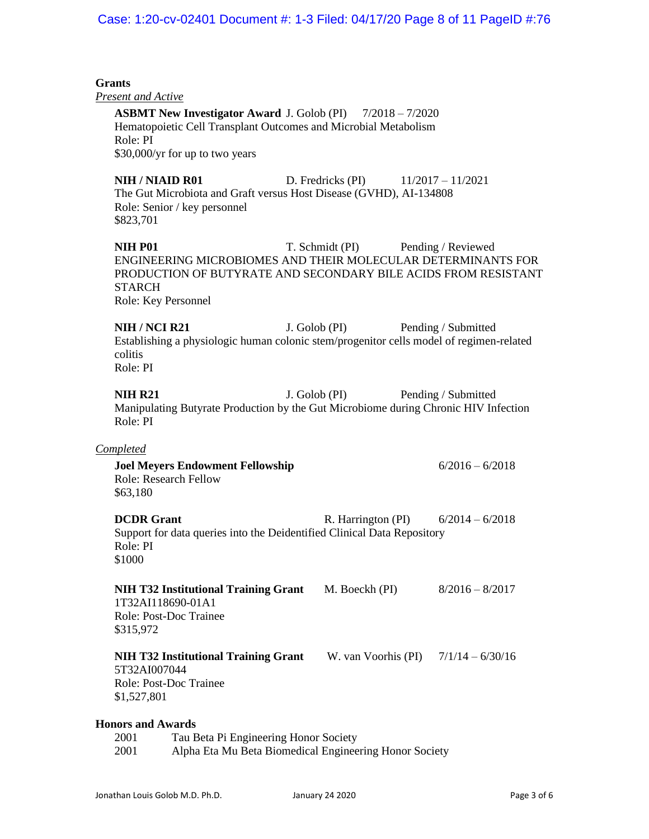# Case: 1:20-cv-02401 Document #: 1-3 Filed: 04/17/20 Page 8 of 11 PageID #:76

| <b>Grants</b>                               |                                                                                                                                                                         |                                        |                     |
|---------------------------------------------|-------------------------------------------------------------------------------------------------------------------------------------------------------------------------|----------------------------------------|---------------------|
| <b>Present and Active</b><br>Role: PI       | <b>ASBMT New Investigator Award J. Golob (PI)</b> 7/2018 - 7/2020<br>Hematopoietic Cell Transplant Outcomes and Microbial Metabolism<br>\$30,000/yr for up to two years |                                        |                     |
| <b>NIH / NIAID R01</b><br>\$823,701         | The Gut Microbiota and Graft versus Host Disease (GVHD), AI-134808<br>Role: Senior / key personnel                                                                      | D. Fredricks (PI)                      | $11/2017 - 11/2021$ |
| <b>NIH P01</b><br><b>STARCH</b>             | ENGINEERING MICROBIOMES AND THEIR MOLECULAR DETERMINANTS FOR<br>PRODUCTION OF BUTYRATE AND SECONDARY BILE ACIDS FROM RESISTANT<br>Role: Key Personnel                   | T. Schmidt (PI) Pending / Reviewed     |                     |
| <b>NIH / NCI R21</b><br>colitis<br>Role: PI | Establishing a physiologic human colonic stem/progenitor cells model of regimen-related                                                                                 | J. Golob (PI)                          | Pending / Submitted |
| <b>NIH R21</b><br>Role: PI                  | Manipulating Butyrate Production by the Gut Microbiome during Chronic HIV Infection                                                                                     | J. Golob (PI)                          | Pending / Submitted |
| Completed                                   |                                                                                                                                                                         |                                        |                     |
| \$63,180                                    | <b>Joel Meyers Endowment Fellowship</b><br>Role: Research Fellow                                                                                                        |                                        | $6/2016 - 6/2018$   |
| <b>DCDR</b> Grant<br>Role: PI<br>\$1000     | Support for data queries into the Deidentified Clinical Data Repository                                                                                                 | R. Harrington (PI) $6/2014 - 6/2018$   |                     |
| \$315,972                                   | <b>NIH T32 Institutional Training Grant</b><br>1T32AI118690-01A1<br>Role: Post-Doc Trainee                                                                              | M. Boeckh (PI)                         | $8/2016 - 8/2017$   |
| 5T32AI007044<br>\$1,527,801                 | <b>NIH T32 Institutional Training Grant</b><br>Role: Post-Doc Trainee                                                                                                   | W. van Voorhis (PI) $7/1/14 - 6/30/16$ |                     |
| <b>Honors and Awards</b><br>2001<br>2001    | Tau Beta Pi Engineering Honor Society<br>Alpha Eta Mu Beta Biomedical Engineering Honor Society                                                                         |                                        |                     |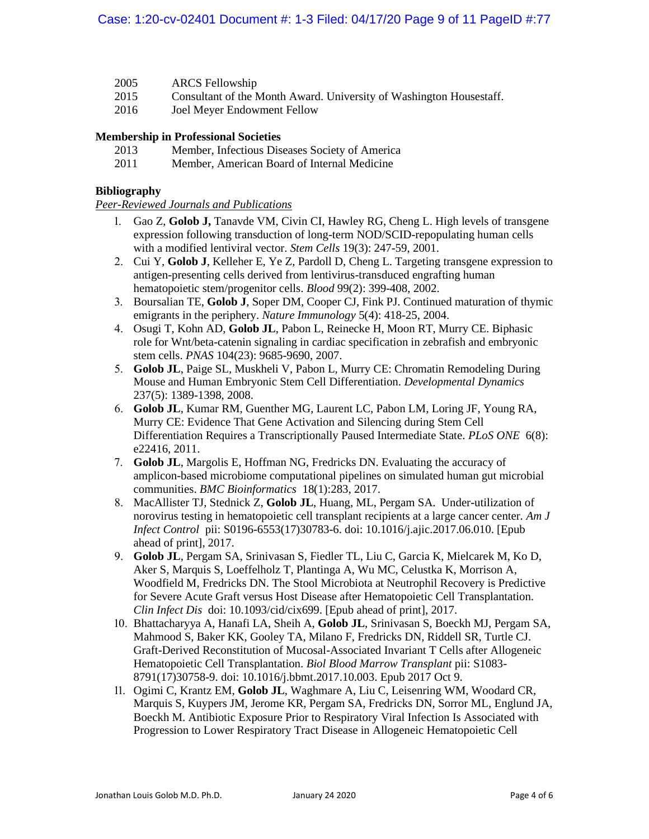- 2005 ARCS Fellowship
- 2015 Consultant of the Month Award. University of Washington Housestaff.
- 2016 Joel Meyer Endowment Fellow

#### **Membership in Professional Societies**

- 2013 Member, Infectious Diseases Society of America
- 2011 Member, American Board of Internal Medicine

#### **Bibliography**

*Peer-Reviewed Journals and Publications*

- 1. Gao Z, **Golob J,** Tanavde VM, Civin CI, Hawley RG, Cheng L. High levels of transgene expression following transduction of long-term NOD/SCID-repopulating human cells with a modified lentiviral vector. *Stem Cells* 19(3): 247-59, 2001.
- 2. Cui Y, **Golob J**, Kelleher E, Ye Z, Pardoll D, Cheng L. Targeting transgene expression to antigen-presenting cells derived from lentivirus-transduced engrafting human hematopoietic stem/progenitor cells. *Blood* 99(2): 399-408, 2002.
- 3. Boursalian TE, **Golob J**, Soper DM, Cooper CJ, Fink PJ. Continued maturation of thymic emigrants in the periphery. *Nature Immunology* 5(4): 418-25, 2004.
- 4. Osugi T, Kohn AD, **Golob JL**, Pabon L, Reinecke H, Moon RT, Murry CE. Biphasic role for Wnt/beta-catenin signaling in cardiac specification in zebrafish and embryonic stem cells. *PNAS* 104(23): 9685-9690, 2007.
- 5. **Golob JL**, Paige SL, Muskheli V, Pabon L, Murry CE: Chromatin Remodeling During Mouse and Human Embryonic Stem Cell Differentiation. *Developmental Dynamics* 237(5): 1389-1398, 2008.
- 6. **Golob JL**, Kumar RM, Guenther MG, Laurent LC, Pabon LM, Loring JF, Young RA, Murry CE: Evidence That Gene Activation and Silencing during Stem Cell Differentiation Requires a Transcriptionally Paused Intermediate State. *PLoS ONE* 6(8): e22416, 2011.
- 7. **Golob JL**, Margolis E, Hoffman NG, Fredricks DN. Evaluating the accuracy of amplicon-based microbiome computational pipelines on simulated human gut microbial communities. *BMC Bioinformatics* 18(1):283, 2017.
- 8. MacAllister TJ, Stednick Z, **Golob JL**, Huang, ML, Pergam SA. Under-utilization of norovirus testing in hematopoietic cell transplant recipients at a large cancer center. *Am J Infect Control* pii: S0196-6553(17)30783-6. doi: 10.1016/j.ajic.2017.06.010. [Epub ahead of print], 2017.
- 9. **Golob JL**, Pergam SA, Srinivasan S, Fiedler TL, Liu C, Garcia K, Mielcarek M, Ko D, Aker S, Marquis S, Loeffelholz T, Plantinga A, Wu MC, Celustka K, Morrison A, Woodfield M, Fredricks DN. The Stool Microbiota at Neutrophil Recovery is Predictive for Severe Acute Graft versus Host Disease after Hematopoietic Cell Transplantation. *Clin Infect Dis* doi: 10.1093/cid/cix699. [Epub ahead of print], 2017.
- 10. Bhattacharyya A, Hanafi LA, Sheih A, **Golob JL**, Srinivasan S, Boeckh MJ, Pergam SA, Mahmood S, Baker KK, Gooley TA, Milano F, Fredricks DN, Riddell SR, Turtle CJ. Graft-Derived Reconstitution of Mucosal-Associated Invariant T Cells after Allogeneic Hematopoietic Cell Transplantation. *Biol Blood Marrow Transplant* pii: S1083- 8791(17)30758-9. doi: 10.1016/j.bbmt.2017.10.003. Epub 2017 Oct 9.
- 11. Ogimi C, Krantz EM, **Golob JL**, Waghmare A, Liu C, Leisenring WM, Woodard CR, Marquis S, Kuypers JM, Jerome KR, Pergam SA, Fredricks DN, Sorror ML, Englund JA, Boeckh M. Antibiotic Exposure Prior to Respiratory Viral Infection Is Associated with Progression to Lower Respiratory Tract Disease in Allogeneic Hematopoietic Cell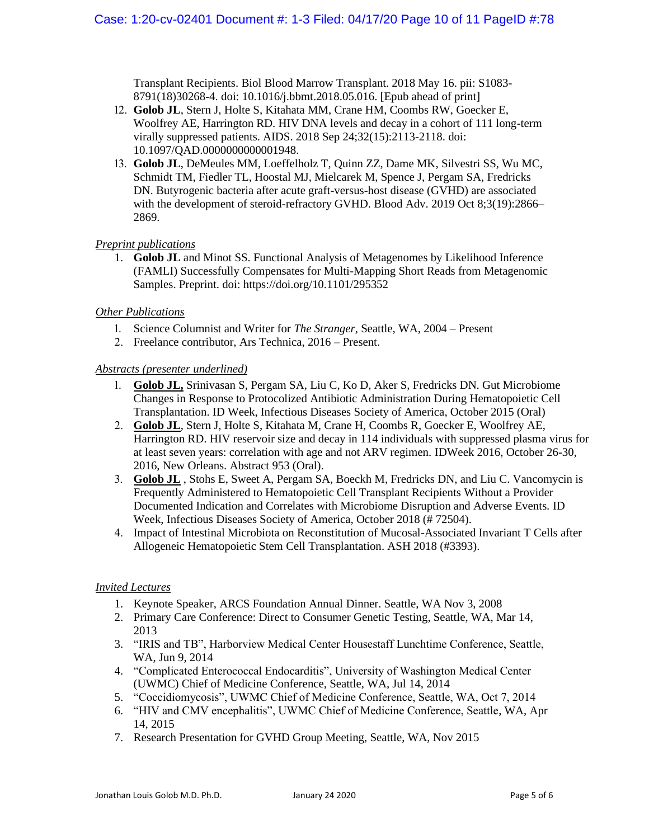Transplant Recipients. Biol Blood Marrow Transplant. 2018 May 16. pii: S1083- 8791(18)30268-4. doi: 10.1016/j.bbmt.2018.05.016. [Epub ahead of print]

- 12. **Golob JL**, Stern J, Holte S, Kitahata MM, Crane HM, Coombs RW, Goecker E, Woolfrey AE, Harrington RD. HIV DNA levels and decay in a cohort of 111 long-term virally suppressed patients. AIDS. 2018 Sep 24;32(15):2113-2118. doi: 10.1097/QAD.0000000000001948.
- 13. **Golob JL**, DeMeules MM, Loeffelholz T, Quinn ZZ, Dame MK, Silvestri SS, Wu MC, Schmidt TM, Fiedler TL, Hoostal MJ, Mielcarek M, Spence J, Pergam SA, Fredricks DN. Butyrogenic bacteria after acute graft-versus-host disease (GVHD) are associated with the development of steroid-refractory GVHD. Blood Adv. 2019 Oct 8;3(19):2866– 2869.

#### *Preprint publications*

1. **Golob JL** and Minot SS. Functional Analysis of Metagenomes by Likelihood Inference (FAMLI) Successfully Compensates for Multi-Mapping Short Reads from Metagenomic Samples. Preprint. doi: https://doi.org/10.1101/295352

#### *Other Publications*

- 1. Science Columnist and Writer for *The Stranger*, Seattle, WA, 2004 Present
- 2. Freelance contributor, Ars Technica, 2016 Present.

#### *Abstracts (presenter underlined)*

- 1. **Golob JL,** Srinivasan S, Pergam SA, Liu C, Ko D, Aker S, Fredricks DN. Gut Microbiome Changes in Response to Protocolized Antibiotic Administration During Hematopoietic Cell Transplantation. ID Week, Infectious Diseases Society of America, October 2015 (Oral)
- 2. **Golob JL**, Stern J, Holte S, Kitahata M, Crane H, Coombs R, Goecker E, Woolfrey AE, Harrington RD. HIV reservoir size and decay in 114 individuals with suppressed plasma virus for at least seven years: correlation with age and not ARV regimen. IDWeek 2016, October 26-30, 2016, New Orleans. Abstract 953 (Oral).
- 3. **Golob JL** , Stohs E, Sweet A, Pergam SA, Boeckh M, Fredricks DN, and Liu C. Vancomycin is Frequently Administered to Hematopoietic Cell Transplant Recipients Without a Provider Documented Indication and Correlates with Microbiome Disruption and Adverse Events. ID Week, Infectious Diseases Society of America, October 2018 (# 72504).
- 4. Impact of Intestinal Microbiota on Reconstitution of Mucosal-Associated Invariant T Cells after Allogeneic Hematopoietic Stem Cell Transplantation. ASH 2018 (#3393).

#### *Invited Lectures*

- 1. Keynote Speaker, ARCS Foundation Annual Dinner. Seattle, WA Nov 3, 2008
- 2. Primary Care Conference: Direct to Consumer Genetic Testing, Seattle, WA, Mar 14, 2013
- 3. "IRIS and TB", Harborview Medical Center Housestaff Lunchtime Conference, Seattle, WA, Jun 9, 2014
- 4. "Complicated Enterococcal Endocarditis", University of Washington Medical Center (UWMC) Chief of Medicine Conference, Seattle, WA, Jul 14, 2014
- 5. "Coccidiomycosis", UWMC Chief of Medicine Conference, Seattle, WA, Oct 7, 2014
- 6. "HIV and CMV encephalitis", UWMC Chief of Medicine Conference, Seattle, WA, Apr 14, 2015
- 7. Research Presentation for GVHD Group Meeting, Seattle, WA, Nov 2015